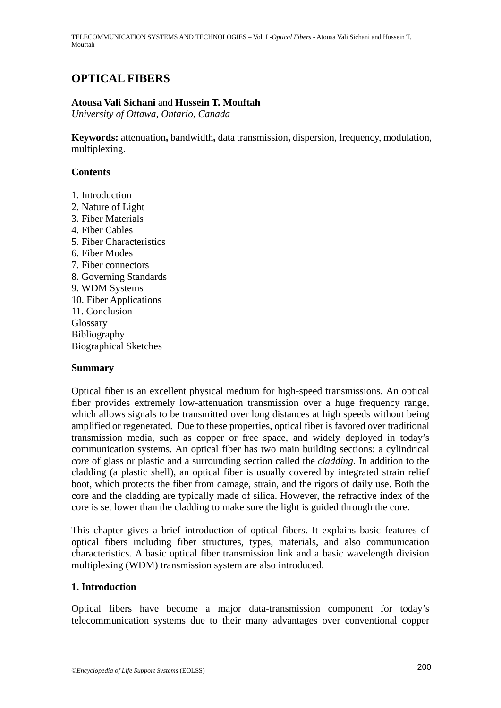TELECOMMUNICATION SYSTEMS AND TECHNOLOGIES – Vol. I -*Optical Fibers* - Atousa Vali Sichani and Hussein T. Mouftah

# **OPTICAL FIBERS**

### **Atousa Vali Sichani** and **Hussein T. Mouftah**

*University of Ottawa, Ontario, Canada* 

**Keywords:** attenuation**,** bandwidth**,** data transmission**,** dispersion, frequency, modulation, multiplexing.

### **Contents**

- 1. Introduction
- 2. Nature of Light
- 3. Fiber Materials
- 4. Fiber Cables
- 5. Fiber Characteristics
- 6. Fiber Modes
- 7. Fiber connectors
- 8. Governing Standards
- 9. WDM Systems
- 10. Fiber Applications
- 11. Conclusion Glossary
- Bibliography
- Biographical Sketches

### **Summary**

Optical fiber is an excellent physical medium for high-speed transmissions. An optical fiber provides extremely low-attenuation transmission over a huge frequency range, which allows signals to be transmitted over long distances at high speeds without being amplified or regenerated. Due to these properties, optical fiber is favored over traditional transmission media, such as copper or free space, and widely deployed in today's communication systems. An optical fiber has two main building sections: a cylindrical *core* of glass or plastic and a surrounding section called the *cladding*. In addition to the cladding (a plastic shell), an optical fiber is usually covered by integrated strain relief boot, which protects the fiber from damage, strain, and the rigors of daily use. Both the core and the cladding are typically made of silica. However, the refractive index of the core is set lower than the cladding to make sure the light is guided through the core.

This chapter gives a brief introduction of optical fibers. It explains basic features of optical fibers including fiber structures, types, materials, and also communication characteristics. A basic optical fiber transmission link and a basic wavelength division multiplexing (WDM) transmission system are also introduced.

### **1. Introduction**

Optical fibers have become a major data-transmission component for today's telecommunication systems due to their many advantages over conventional copper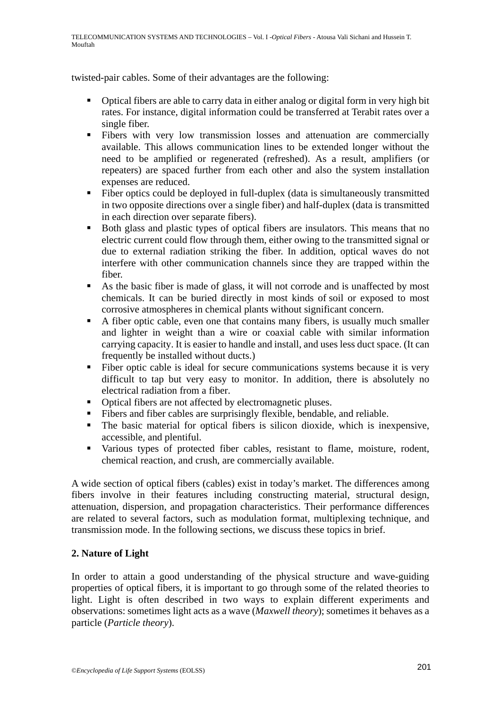twisted-pair cables. Some of their advantages are the following:

- Optical fibers are able to carry data in either analog or digital form in very high bit rates. For instance, digital information could be transferred at Terabit rates over a single fiber.
- Fibers with very low transmission losses and attenuation are commercially available. This allows communication lines to be extended longer without the need to be amplified or regenerated (refreshed). As a result, amplifiers (or repeaters) are spaced further from each other and also the system installation expenses are reduced.
- Fiber optics could be deployed in full-duplex (data is simultaneously transmitted in two opposite directions over a single fiber) and half-duplex (data is transmitted in each direction over separate fibers).
- Both glass and plastic types of optical fibers are insulators. This means that no electric current could flow through them, either owing to the transmitted signal or due to external radiation striking the fiber. In addition, optical waves do not interfere with other communication channels since they are trapped within the fiber.
- As the basic fiber is made of glass, it will not corrode and is unaffected by most chemicals. It can be buried directly in most kinds of soil or exposed to most corrosive atmospheres in chemical plants without significant concern.
- A fiber optic cable, even one that contains many fibers, is usually much smaller and lighter in weight than a wire or coaxial cable with similar information carrying capacity. It is easier to handle and install, and uses less duct space. (It can frequently be installed without ducts.)
- Fiber optic cable is ideal for secure communications systems because it is very difficult to tap but very easy to monitor. In addition, there is absolutely no electrical radiation from a fiber.
- Optical fibers are not affected by electromagnetic pluses.
- Fibers and fiber cables are surprisingly flexible, bendable, and reliable.
- The basic material for optical fibers is silicon dioxide, which is inexpensive, accessible, and plentiful.
- Various types of protected fiber cables, resistant to flame, moisture, rodent, chemical reaction, and crush, are commercially available.

A wide section of optical fibers (cables) exist in today's market. The differences among fibers involve in their features including constructing material, structural design, attenuation, dispersion, and propagation characteristics. Their performance differences are related to several factors, such as modulation format, multiplexing technique, and transmission mode. In the following sections, we discuss these topics in brief.

## **2. Nature of Light**

In order to attain a good understanding of the physical structure and wave-guiding properties of optical fibers, it is important to go through some of the related theories to light. Light is often described in two ways to explain different experiments and observations: sometimes light acts as a wave (*Maxwell theory*); sometimes it behaves as a particle (*Particle theory*).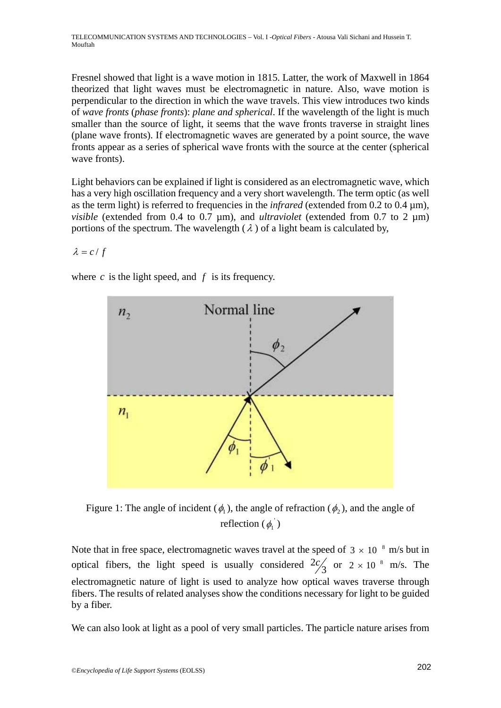Fresnel showed that light is a wave motion in 1815. Latter, the work of Maxwell in 1864 theorized that light waves must be electromagnetic in nature. Also, wave motion is perpendicular to the direction in which the wave travels. This view introduces two kinds of *wave fronts* (*phase fronts*): *plane and spherical*. If the wavelength of the light is much smaller than the source of light, it seems that the wave fronts traverse in straight lines (plane wave fronts). If electromagnetic waves are generated by a point source, the wave fronts appear as a series of spherical wave fronts with the source at the center (spherical wave fronts).

Light behaviors can be explained if light is considered as an electromagnetic wave, which has a very high oscillation frequency and a very short wavelength. The term optic (as well as the term light) is referred to frequencies in the *infrared* (extended from 0.2 to 0.4 µm), *visible* (extended from 0.4 to 0.7 µm), and *ultraviolet* (extended from 0.7 to 2 µm) portions of the spectrum. The wavelength  $(\lambda)$  of a light beam is calculated by,

 $\lambda = c / f$ 

where  $c$  is the light speed, and  $f$  is its frequency.



Figure 1: The angle of incident ( $\phi$ ), the angle of refraction ( $\phi$ ), and the angle of reflection  $(\phi_1)$ 

Note that in free space, electromagnetic waves travel at the speed of  $3 \times 10^{-8}$  m/s but in optical fibers, the light speed is usually considered  $\frac{2c}{3}$  or  $2 \times 10^{-8}$  m/s. The electromagnetic nature of light is used to analyze how optical waves traverse through fibers. The results of related analyses show the conditions necessary for light to be guided by a fiber.

We can also look at light as a pool of very small particles. The particle nature arises from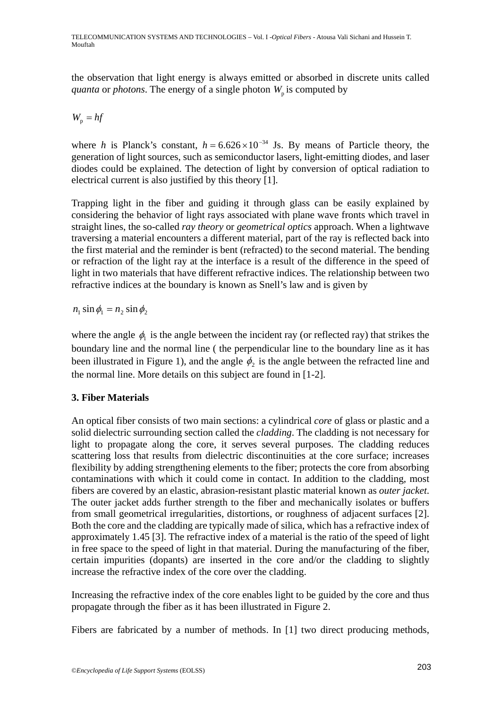the observation that light energy is always emitted or absorbed in discrete units called *quanta* or *photons*. The energy of a single photon  $W_p$  is computed by

$$
W_{\rm p}=hf
$$

where *h* is Planck's constant,  $h = 6.626 \times 10^{-34}$  Js. By means of Particle theory, the generation of light sources, such as semiconductor lasers, light-emitting diodes, and laser diodes could be explained. The detection of light by conversion of optical radiation to electrical current is also justified by this theory [1].

Trapping light in the fiber and guiding it through glass can be easily explained by considering the behavior of light rays associated with plane wave fronts which travel in straight lines, the so-called *ray theory* or *geometrical optics* approach. When a lightwave traversing a material encounters a different material, part of the ray is reflected back into the first material and the reminder is bent (refracted) to the second material. The bending or refraction of the light ray at the interface is a result of the difference in the speed of light in two materials that have different refractive indices. The relationship between two refractive indices at the boundary is known as Snell's law and is given by

 $n_1 \sin \phi_1 = n_2 \sin \phi_2$ 

where the angle  $\phi_1$  is the angle between the incident ray (or reflected ray) that strikes the boundary line and the normal line ( the perpendicular line to the boundary line as it has been illustrated in Figure 1), and the angle  $\phi_2$  is the angle between the refracted line and the normal line. More details on this subject are found in [1-2].

## **3. Fiber Materials**

An optical fiber consists of two main sections: a cylindrical *core* of glass or plastic and a solid dielectric surrounding section called the *cladding*. The cladding is not necessary for light to propagate along the core, it serves several purposes. The cladding reduces scattering loss that results from dielectric discontinuities at the core surface; increases flexibility by adding strengthening elements to the fiber; protects the core from absorbing contaminations with which it could come in contact. In addition to the cladding, most fibers are covered by an elastic, abrasion-resistant plastic material known as *outer jacket*. The outer jacket adds further strength to the fiber and mechanically isolates or buffers from small geometrical irregularities, distortions, or roughness of adjacent surfaces [2]. Both the core and the cladding are typically made of silica, which has a refractive index of approximately 1.45 [3]. The refractive index of a material is the ratio of the speed of light in free space to the speed of light in that material. During the manufacturing of the fiber, certain impurities (dopants) are inserted in the core and/or the cladding to slightly increase the refractive index of the core over the cladding.

Increasing the refractive index of the core enables light to be guided by the core and thus propagate through the fiber as it has been illustrated in Figure 2.

Fibers are fabricated by a number of methods. In [1] two direct producing methods,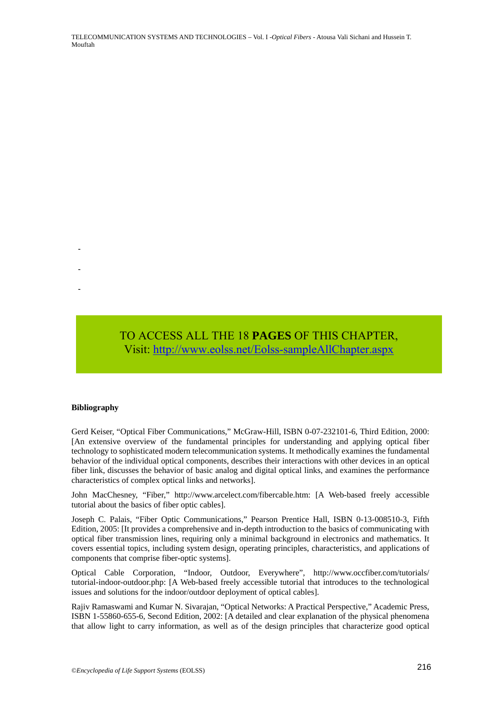TELECOMMUNICATION SYSTEMS AND TECHNOLOGIES – Vol. I -*Optical Fibers* - Atousa Vali Sichani and Hussein T. Mouftah

Visit[: http://www.eolss.net/Eolss-sampleAllChapter.aspx](https://www.eolss.net/ebooklib/sc_cart.aspx?File=E6-108-07)

#### **Bibliography**

-

-

-

Gerd Keiser, "Optical Fiber Communications," McGraw-Hill, ISBN 0-07-232101-6, Third Edition, 2000: [An extensive overview of the fundamental principles for understanding and applying optical fiber technology to sophisticated modern telecommunication systems. It methodically examines the fundamental behavior of the individual optical components, describes their interactions with other devices in an optical fiber link, discusses the behavior of basic analog and digital optical links, and examines the performance characteristics of complex optical links and networks]. TO ACCESS ALL THE 18 **PAGES** OF THIS CHAPTER,<br>Visit: http://www.colss.net/Eolss-sampleAllChapter.aspx<br>Dibiography<br>Bibliography<br>Bibliography<br>Care Neiser. "Optical Fiber Communications." McGraw-Hill. ISBN 0-07-232101-6. Thir

John MacChesney, "Fiber," http://www.arcelect.com/fibercable.htm: [A Web-based freely accessible tutorial about the basics of fiber optic cables].

Joseph C. Palais, "Fiber Optic Communications," Pearson Prentice Hall, ISBN 0-13-008510-3, Fifth Edition, 2005: [It provides a comprehensive and in-depth introduction to the basics of communicating with optical fiber transmission lines, requiring only a minimal background in electronics and mathematics. It covers essential topics, including system design, operating principles, characteristics, and applications of components that comprise fiber-optic systems].

Optical Cable Corporation, "Indoor, Outdoor, Everywhere", http://www.occfiber.com/tutorials/ tutorial-indoor-outdoor.php: [A Web-based freely accessible tutorial that introduces to the technological issues and solutions for the indoor/outdoor deployment of optical cables].

Rajiv Ramaswami and Kumar N. Sivarajan, "Optical Networks: A Practical Perspective," Academic Press, ISBN 1-55860-655-6, Second Edition, 2002: [A detailed and clear explanation of the physical phenomena that allow light to carry information, as well as of the design principles that characterize good optical